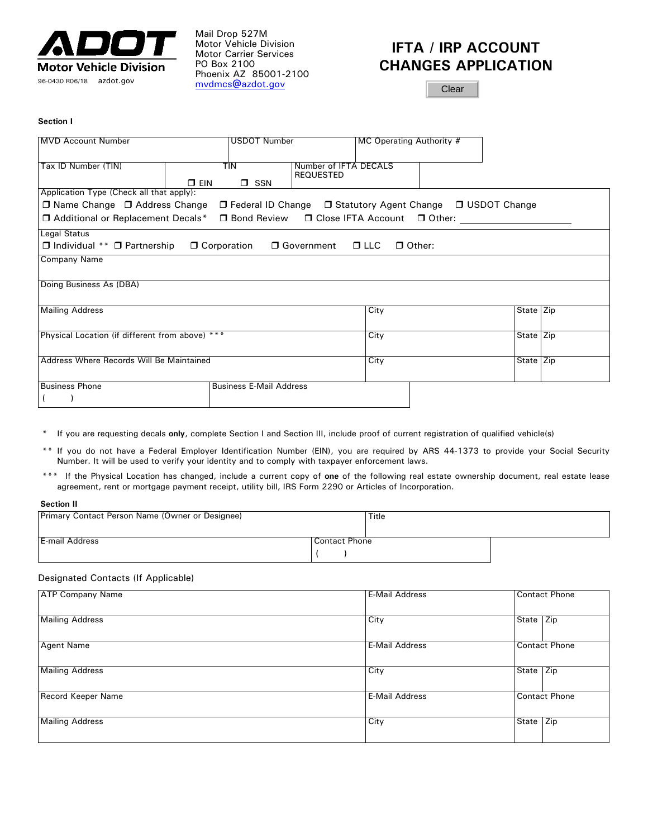

**Section I**

Mail Drop 527M Motor Vehicle Division Motor Carrier Services PO Box 2100 Phoenix AZ 85001-2100 [mvdmcs@azdot.gov](mailto:mvdmcs@azdot.gov)

# **IFTA / IRP ACCOUNT CHANGES APPLICATION**

**Clear** 

| <b>MVD Account Number</b>                       | <b>USDOT Number</b>                                                             | MC Operating Authority #                                    |           |  |
|-------------------------------------------------|---------------------------------------------------------------------------------|-------------------------------------------------------------|-----------|--|
| Tax ID Number (TIN)                             | <b>TIN</b><br>$\Box$ EIN<br>$\Box$ SSN                                          | Number of IFTA DECALS<br><b>REQUESTED</b>                   |           |  |
| Application Type (Check all that apply):        |                                                                                 |                                                             |           |  |
| □ Name Change □ Address Change                  |                                                                                 | □ Federal ID Change □ Statutory Agent Change □ USDOT Change |           |  |
|                                                 | □ Additional or Replacement Decals* □ Bond Review □ Close IFTA Account □ Other: |                                                             |           |  |
| <b>Legal Status</b>                             |                                                                                 |                                                             |           |  |
| $\Box$ Individual ** $\Box$ Partnership         | □ Corporation                                                                   | □ Government □ LLC<br>$\Box$ Other:                         |           |  |
| <b>Company Name</b>                             |                                                                                 |                                                             |           |  |
| Doing Business As (DBA)                         |                                                                                 |                                                             |           |  |
| <b>Mailing Address</b>                          |                                                                                 | City                                                        | State Zip |  |
| Physical Location (if different from above) *** |                                                                                 | City                                                        | State Zip |  |
| Address Where Records Will Be Maintained        |                                                                                 | City                                                        | State Zip |  |
| <b>Business Phone</b>                           | <b>Business E-Mail Address</b>                                                  |                                                             |           |  |

- \* If you are requesting decals **only**, complete Section I and Section III, include proof of current registration of qualified vehicle(s)
- \*\* If you do not have a Federal Employer Identification Number (EIN), you are required by ARS 44-1373 to provide your Social Security Number. It will be used to verify your identity and to comply with taxpayer enforcement laws.
- \*\*\* If the Physical Location has changed, include a current copy of **one** of the following real estate ownership document, real estate lease agreement, rent or mortgage payment receipt, utility bill, IRS Form 2290 or Articles of Incorporation.

#### **Section II**

| Primary Contact Person Name (Owner or Designee) |               | Title |  |
|-------------------------------------------------|---------------|-------|--|
| E-mail Address                                  | Contact Phone |       |  |
|                                                 |               |       |  |

## Designated Contacts (If Applicable)

| <b>ATP Company Name</b>   | <b>E-Mail Address</b> | <b>Contact Phone</b> |
|---------------------------|-----------------------|----------------------|
| <b>Mailing Address</b>    | City                  | Zip<br>State         |
| <b>Agent Name</b>         | <b>E-Mail Address</b> | <b>Contact Phone</b> |
| <b>Mailing Address</b>    | City                  | State<br>Zip         |
| <b>Record Keeper Name</b> | <b>E-Mail Address</b> | Contact Phone        |
| <b>Mailing Address</b>    | City                  | Zip<br>State         |